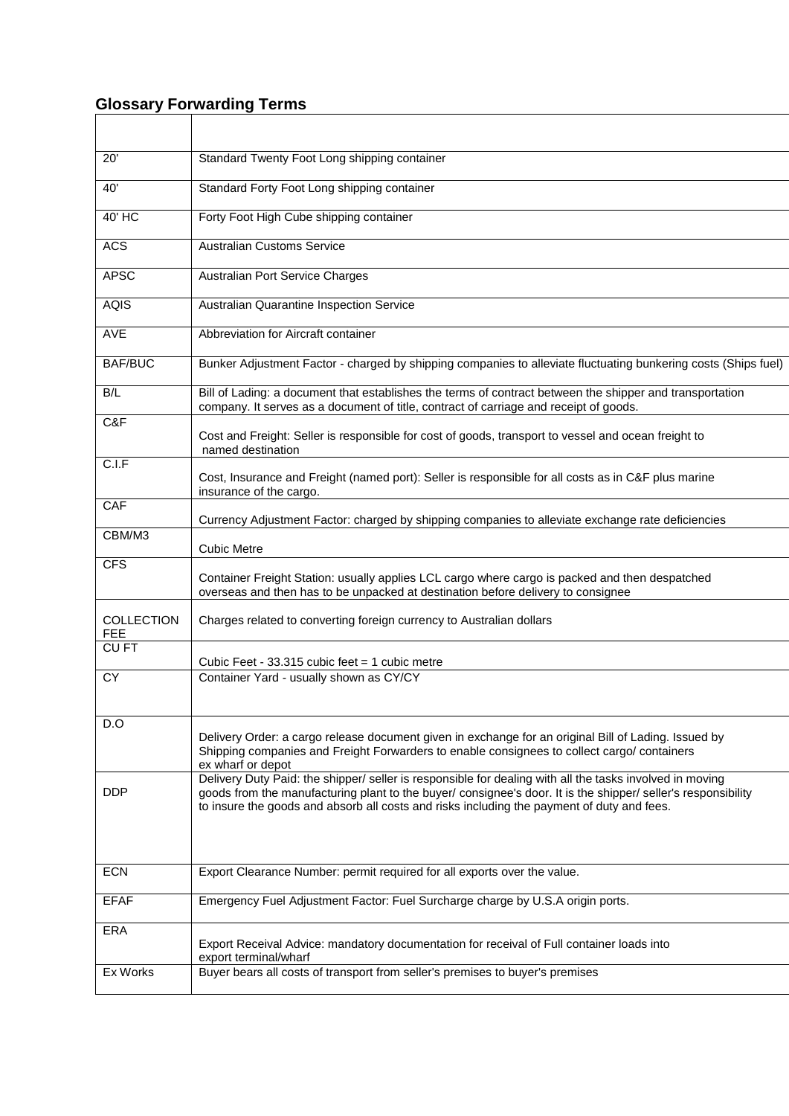## **Glossary Forwarding Terms**

| 20'                             | Standard Twenty Foot Long shipping container                                                                                                                                                                                                                                                                            |
|---------------------------------|-------------------------------------------------------------------------------------------------------------------------------------------------------------------------------------------------------------------------------------------------------------------------------------------------------------------------|
| 40'                             | Standard Forty Foot Long shipping container                                                                                                                                                                                                                                                                             |
| 40' HC                          | Forty Foot High Cube shipping container                                                                                                                                                                                                                                                                                 |
| <b>ACS</b>                      | <b>Australian Customs Service</b>                                                                                                                                                                                                                                                                                       |
| <b>APSC</b>                     | Australian Port Service Charges                                                                                                                                                                                                                                                                                         |
| <b>AQIS</b>                     | Australian Quarantine Inspection Service                                                                                                                                                                                                                                                                                |
| AVE                             | Abbreviation for Aircraft container                                                                                                                                                                                                                                                                                     |
| <b>BAF/BUC</b>                  | Bunker Adjustment Factor - charged by shipping companies to alleviate fluctuating bunkering costs (Ships fuel)                                                                                                                                                                                                          |
| B/L                             | Bill of Lading: a document that establishes the terms of contract between the shipper and transportation<br>company. It serves as a document of title, contract of carriage and receipt of goods.                                                                                                                       |
| C&F                             | Cost and Freight: Seller is responsible for cost of goods, transport to vessel and ocean freight to<br>named destination                                                                                                                                                                                                |
| C.I.F                           | Cost, Insurance and Freight (named port): Seller is responsible for all costs as in C&F plus marine<br>insurance of the cargo.                                                                                                                                                                                          |
| CAF                             | Currency Adjustment Factor: charged by shipping companies to alleviate exchange rate deficiencies                                                                                                                                                                                                                       |
| CBM/M3                          | <b>Cubic Metre</b>                                                                                                                                                                                                                                                                                                      |
| <b>CFS</b>                      | Container Freight Station: usually applies LCL cargo where cargo is packed and then despatched<br>overseas and then has to be unpacked at destination before delivery to consignee                                                                                                                                      |
| <b>COLLECTION</b><br><b>FEE</b> | Charges related to converting foreign currency to Australian dollars                                                                                                                                                                                                                                                    |
| CU <sub>FT</sub>                | Cubic Feet - 33.315 cubic feet = 1 cubic metre                                                                                                                                                                                                                                                                          |
| <b>CY</b>                       | Container Yard - usually shown as CY/CY                                                                                                                                                                                                                                                                                 |
| D.O                             | Delivery Order: a cargo release document given in exchange for an original Bill of Lading. Issued by<br>Shipping companies and Freight Forwarders to enable consignees to collect cargo/ containers<br>ex wharf or depot                                                                                                |
| <b>DDP</b>                      | Delivery Duty Paid: the shipper/ seller is responsible for dealing with all the tasks involved in moving<br>goods from the manufacturing plant to the buyer/ consignee's door. It is the shipper/ seller's responsibility<br>to insure the goods and absorb all costs and risks including the payment of duty and fees. |
| <b>ECN</b>                      | Export Clearance Number: permit required for all exports over the value.                                                                                                                                                                                                                                                |
| <b>EFAF</b>                     | Emergency Fuel Adjustment Factor: Fuel Surcharge charge by U.S.A origin ports.                                                                                                                                                                                                                                          |
| ERA                             | Export Receival Advice: mandatory documentation for receival of Full container loads into<br>export terminal/wharf                                                                                                                                                                                                      |
| Ex Works                        | Buyer bears all costs of transport from seller's premises to buyer's premises                                                                                                                                                                                                                                           |